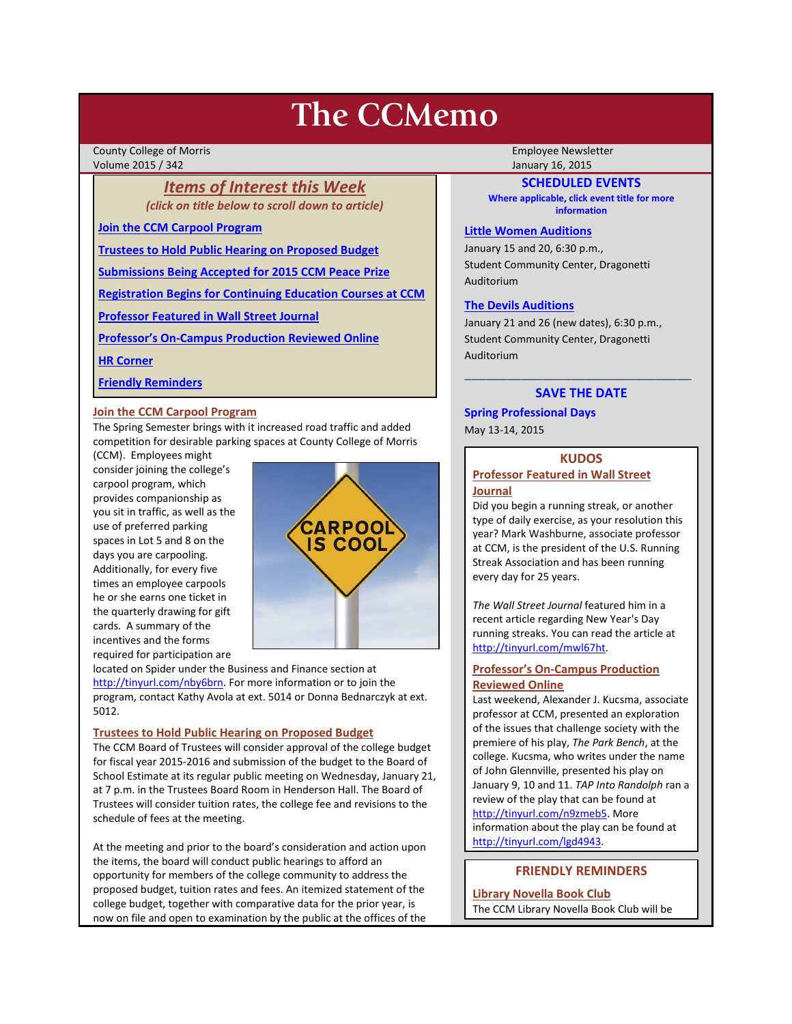# **The CCMemo**

County College of Morris **Employee Newsletter** Employee Newsletter Employee Newsletter Volume 2015 / 342 January 16, 2015

### *Items of Interest this Week (click on title below to scroll down to article)*

**[Join the CCM Carpool Program](#page-0-0)**

**[Trustees to Hold Public Hearing on Proposed Budget](#page-0-1)**

**[Submissions Being Accepted for 2015 CCM Peace Prize](#page-1-0)**

**[Registration Begins for Continuing Education Courses at CCM](#page-1-1)**

**[Professor Featured in Wall Street Journal](#page-0-2)**

**[Professor's On-Campus Production Reviewed Online](#page-0-3)**

**[HR Corner](#page-1-2)**

#### **[Friendly Reminders](#page-0-4)**

#### <span id="page-0-0"></span>**Join the CCM Carpool Program**

The Spring Semester brings with it increased road traffic and added competition for desirable parking spaces at County College of Morris

(CCM). Employees might consider joining the college's carpool program, which provides companionship as you sit in traffic, as well as the use of preferred parking spaces in Lot 5 and 8 on the days you are carpooling. Additionally, for every five times an employee carpools he or she earns one ticket in the quarterly drawing for gift cards. A summary of the incentives and the forms required for participation are



located on Spider under the Business and Finance section at [http://tinyurl.com/nby6brn.](http://tinyurl.com/nby6brn) For more information or to join the program, contact Kathy Avola at ext. 5014 or Donna Bednarczyk at ext. 5012.

#### <span id="page-0-1"></span>**Trustees to Hold Public Hearing on Proposed Budget**

The CCM Board of Trustees will consider approval of the college budget for fiscal year 2015-2016 and submission of the budget to the Board of School Estimate at its regular public meeting on Wednesday, January 21, at 7 p.m. in the Trustees Board Room in Henderson Hall. The Board of Trustees will consider tuition rates, the college fee and revisions to the schedule of fees at the meeting.

At the meeting and prior to the board's consideration and action upon the items, the board will conduct public hearings to afford an opportunity for members of the college community to address the proposed budget, tuition rates and fees. An itemized statement of the college budget, together with comparative data for the prior year, is now on file and open to examination by the public at the offices of the

#### **SCHEDULED EVENTS**

**Where applicable, click event title for more information**

#### **[Little Women Auditions](http://www.ccm.edu/newsEvents/eventDetails.aspx?Channel=/Channels/Sitewide&WorkflowItemID=920eece3-9dbf-4512-bdc7-fc616dc3e1b2)**

January 15 and 20, 6:30 p.m., Student Community Center, Dragonetti Auditorium

#### **[The Devils Auditions](http://www.ccm.edu/newsEvents/eventDetails.aspx?Channel=/Channels/Sitewide&WorkflowItemID=668b4101-d3b7-45c6-8614-af54796bc126)**

January 21 and 26 (new dates), 6:30 p.m., Student Community Center, Dragonetti Auditorium

## \_\_\_\_\_\_\_\_\_\_\_\_\_\_\_\_\_\_\_\_\_\_\_\_\_\_\_\_\_\_\_\_ **SAVE THE DATE**

# **Spring Professional Days**

May 13-14, 2015

#### **KUDOS**

#### <span id="page-0-2"></span>**Professor Featured in Wall Street Journal**

Did you begin a running streak, or another type of daily exercise, as your resolution this year? Mark Washburne, associate professor at CCM, is the president of the U.S. Running Streak Association and has been running every day for 25 years.

*The Wall Street Journal* featured him in a recent article regarding New Year's Day running streaks. You can read the article at [http://tinyurl.com/mwl67ht.](http://tinyurl.com/mwl67ht) 

#### <span id="page-0-3"></span>**Professor's On-Campus Production Reviewed Online**

Last weekend, Alexander J. Kucsma, associate professor at CCM, presented an exploration of the issues that challenge society with the premiere of his play, *The Park Bench*, at the college. Kucsma, who writes under the name of John Glennville, presented his play on January 9, 10 and 11. *TAP Into Randolph* ran a review of the play that can be found at [http://tinyurl.com/n9zmeb5.](http://tinyurl.com/n9zmeb5) More information about the play can be found at [http://tinyurl.com/lgd4943.](http://tinyurl.com/lgd4943)

#### **FRIENDLY REMINDERS**

<span id="page-0-4"></span>**Library Novella Book Club**  The CCM Library Novella Book Club will be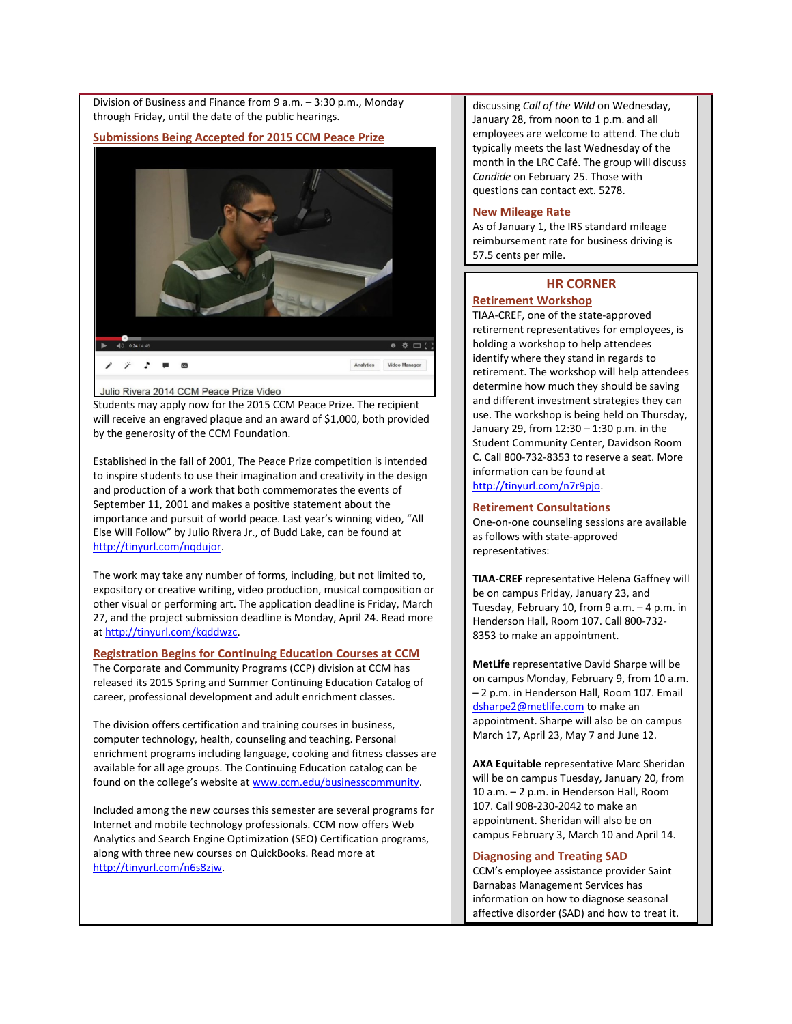Division of Business and Finance from 9 a.m. – 3:30 p.m., Monday through Friday, until the date of the public hearings.

#### <span id="page-1-0"></span>**Submissions Being Accepted for 2015 CCM Peace Prize**



Julio Rivera 2014 CCM Peace Prize Video

Students may apply now for the 2015 CCM Peace Prize. The recipient will receive an engraved plaque and an award of \$1,000, both provided by the generosity of the CCM Foundation.

Established in the fall of 2001, The Peace Prize competition is intended to inspire students to use their imagination and creativity in the design and production of a work that both commemorates the events of September 11, 2001 and makes a positive statement about the importance and pursuit of world peace. Last year's winning video, "All Else Will Follow" by Julio Rivera Jr., of Budd Lake, can be found at [http://tinyurl.com/nqdujor.](http://tinyurl.com/nqdujor)

The work may take any number of forms, including, but not limited to, expository or creative writing, video production, musical composition or other visual or performing art. The application deadline is Friday, March 27, and the project submission deadline is Monday, April 24. Read more a[t http://tinyurl.com/kqddwzc.](http://tinyurl.com/kqddwzc)

#### <span id="page-1-1"></span>**Registration Begins for Continuing Education Courses at CCM**

The Corporate and Community Programs (CCP) division at CCM has released its 2015 Spring and Summer Continuing Education Catalog of career, professional development and adult enrichment classes.

The division offers certification and training courses in business, computer technology, health, counseling and teaching. Personal enrichment programs including language, cooking and fitness classes are available for all age groups. The Continuing Education catalog can be found on the college's website a[t www.ccm.edu/businesscommunity.](http://www.ccm.edu/businesscommunity)

Included among the new courses this semester are several programs for Internet and mobile technology professionals. CCM now offers Web Analytics and Search Engine Optimization (SEO) Certification programs, along with three new courses on QuickBooks. Read more at [http://tinyurl.com/n6s8zjw.](http://tinyurl.com/n6s8zjw)

discussing *Call of the Wild* on Wednesday, January 28, from noon to 1 p.m. and all employees are welcome to attend. The club typically meets the last Wednesday of the month in the LRC Café. The group will discuss *Candide* on February 25. Those with questions can contact ext. 5278.

#### **New Mileage Rate**

As of January 1, the IRS standard mileage reimbursement rate for business driving is 57.5 cents per mile.

#### **HR CORNER**

#### <span id="page-1-2"></span>**Retirement Workshop**

TIAA-CREF, one of the state-approved retirement representatives for employees, is holding a workshop to help attendees identify where they stand in regards to retirement. The workshop will help attendees determine how much they should be saving and different investment strategies they can use. The workshop is being held on Thursday, January 29, from 12:30 – 1:30 p.m. in the Student Community Center, Davidson Room C. Call 800-732-8353 to reserve a seat. More information can be found at [http://tinyurl.com/n7r9pjo.](http://tinyurl.com/n7r9pjo) 

#### **Retirement Consultations**

One-on-one counseling sessions are available as follows with state-approved representatives:

**TIAA-CREF** representative Helena Gaffney will be on campus Friday, January 23, and Tuesday, February 10, from 9 a.m. – 4 p.m. in Henderson Hall, Room 107. Call 800-732- 8353 to make an appointment.

**MetLife** representative David Sharpe will be on campus Monday, February 9, from 10 a.m. – 2 p.m. in Henderson Hall, Room 107. Email [dsharpe2@metlife.com](mailto:dsharpe2@metlife.com) to make an appointment. Sharpe will also be on campus March 17, April 23, May 7 and June 12.

**AXA Equitable** representative Marc Sheridan will be on campus Tuesday, January 20, from 10 a.m. – 2 p.m. in Henderson Hall, Room 107. Call 908-230-2042 to make an appointment. Sheridan will also be on campus February 3, March 10 and April 14.

#### **Diagnosing and Treating SAD**

CCM's employee assistance provider Saint Barnabas Management Services has information on how to diagnose seasonal affective disorder (SAD) and how to treat it.